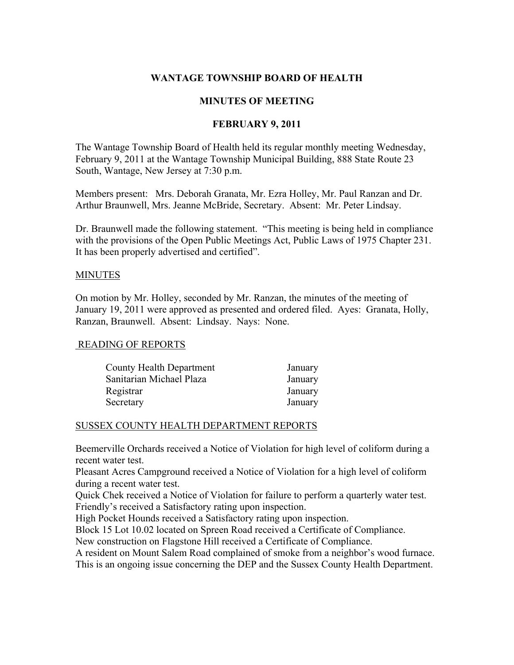# WANTAGE TOWNSHIP BOARD OF HEALTH

## MINUTES OF MEETING

# FEBRUARY 9, 2011

The Wantage Township Board of Health held its regular monthly meeting Wednesday, February 9, 2011 at the Wantage Township Municipal Building, 888 State Route 23 South, Wantage, New Jersey at 7:30 p.m.

Members present: Mrs. Deborah Granata, Mr. Ezra Holley, Mr. Paul Ranzan and Dr. Arthur Braunwell, Mrs. Jeanne McBride, Secretary. Absent: Mr. Peter Lindsay.

Dr. Braunwell made the following statement. "This meeting is being held in compliance with the provisions of the Open Public Meetings Act, Public Laws of 1975 Chapter 231. It has been properly advertised and certified".

#### MINUTES

On motion by Mr. Holley, seconded by Mr. Ranzan, the minutes of the meeting of January 19, 2011 were approved as presented and ordered filed. Ayes: Granata, Holly, Ranzan, Braunwell. Absent: Lindsay. Nays: None.

## READING OF REPORTS

| <b>County Health Department</b> | January |
|---------------------------------|---------|
| Sanitarian Michael Plaza        | January |
| Registrar                       | January |
| Secretary                       | January |

## SUSSEX COUNTY HEALTH DEPARTMENT REPORTS

Beemerville Orchards received a Notice of Violation for high level of coliform during a recent water test.

Pleasant Acres Campground received a Notice of Violation for a high level of coliform during a recent water test.

Quick Chek received a Notice of Violation for failure to perform a quarterly water test. Friendly's received a Satisfactory rating upon inspection.

High Pocket Hounds received a Satisfactory rating upon inspection.

Block 15 Lot 10.02 located on Spreen Road received a Certificate of Compliance.

New construction on Flagstone Hill received a Certificate of Compliance.

A resident on Mount Salem Road complained of smoke from a neighbor's wood furnace. This is an ongoing issue concerning the DEP and the Sussex County Health Department.